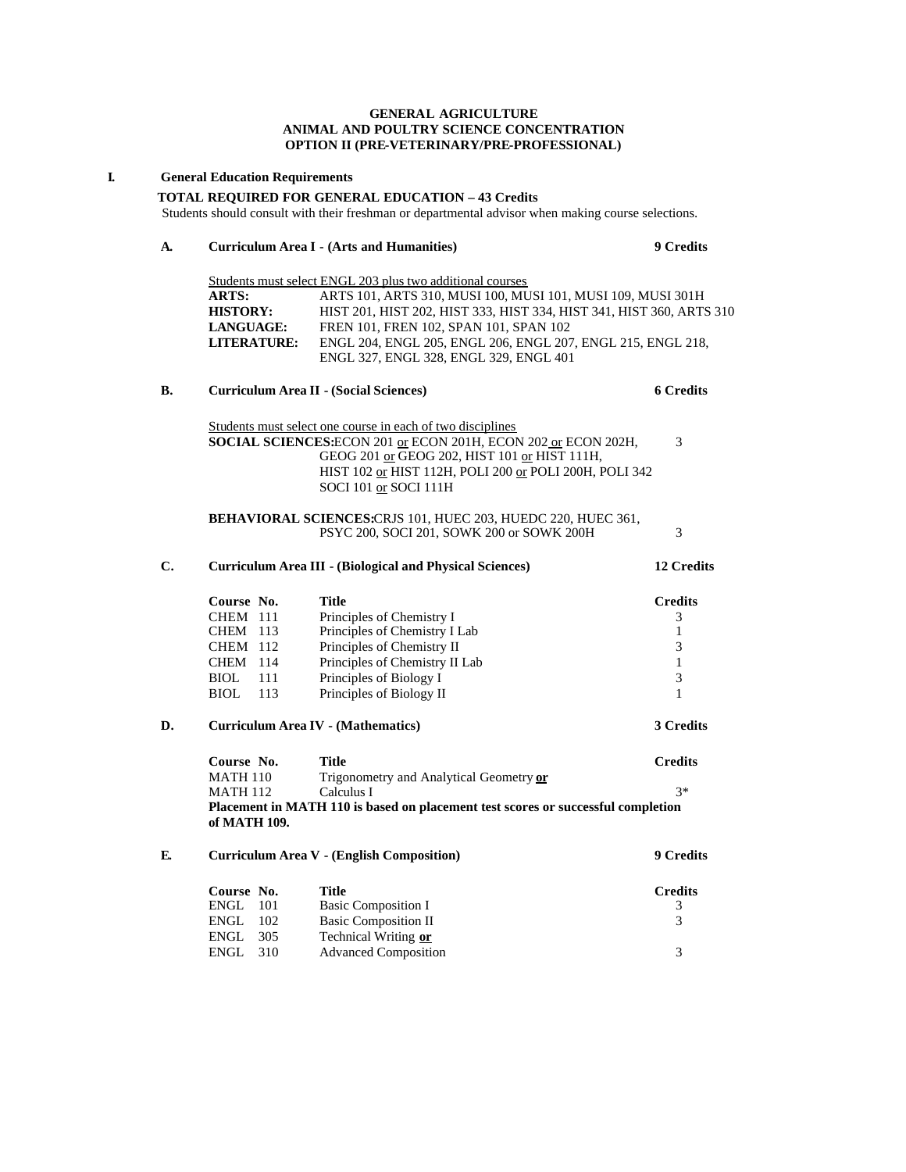#### **GENERAL AGRICULTURE ANIMAL AND POULTRY SCIENCE CONCENTRATION OPTION II (PRE-VETERINARY/PRE-PROFESSIONAL)**

### **I. General Education Requirements**

#### **TOTAL REQUIRED FOR GENERAL EDUCATION – 43 Credits**

Students should consult with their freshman or departmental advisor when making course selections.

# **A. Curriculum Area I - (Arts and Humanities) 9 Credits**

|                    | Students must select ENGL 203 plus two additional courses            |
|--------------------|----------------------------------------------------------------------|
| <b>ARTS:</b>       | ARTS 101, ARTS 310, MUSI 100, MUSI 101, MUSI 109, MUSI 301H          |
| <b>HISTORY:</b>    | HIST 201, HIST 202, HIST 333, HIST 334, HIST 341, HIST 360, ARTS 310 |
| <b>LANGUAGE:</b>   | FREN 101, FREN 102, SPAN 101, SPAN 102                               |
| <b>LITERATURE:</b> | ENGL 204, ENGL 205, ENGL 206, ENGL 207, ENGL 215, ENGL 218,          |
|                    | ENGL 327, ENGL 328, ENGL 329, ENGL 401                               |

# **B. Curriculum Area II - (Social Sciences) 6 Credits**

ENGL 305 Technical Writing **or** 

Students must select one course in each of two disciplines **SOCIAL SCIENCES:**ECON 201 <u>or</u> ECON 201H, ECON 202 <u>or</u> ECON 202H, 3 GEOG 201 or GEOG 202, HIST 101 or HIST 111H, HIST 102 or HIST 112H, POLI 200 or POLI 200H, POLI 342 SOCI 101 or SOCI 111H

#### **BEHAVIORAL SCIENCES:**CRJS 101, HUEC 203, HUEDC 220, HUEC 361, PSYC 200, SOCI 201, SOWK 200 or SOWK 200H 3

| C. |                      | <b>Curriculum Area III - (Biological and Physical Sciences)</b>                  | 12 Credits       |
|----|----------------------|----------------------------------------------------------------------------------|------------------|
|    | Course No.           | <b>Title</b>                                                                     | <b>Credits</b>   |
|    | <b>CHEM</b> 111      | Principles of Chemistry I                                                        | 3                |
|    | <b>CHEM</b> 113      | Principles of Chemistry I Lab                                                    | 1                |
|    | CHEM 112             | Principles of Chemistry II                                                       | 3                |
|    | <b>CHEM</b><br>- 114 | Principles of Chemistry II Lab                                                   | 1                |
|    | <b>BIOL</b><br>111   | Principles of Biology I                                                          | 3                |
|    | <b>BIOL</b><br>113   | Principles of Biology II                                                         | 1                |
| D. |                      | <b>Curriculum Area IV - (Mathematics)</b>                                        | 3 Credits        |
|    | Course No.           | <b>Title</b>                                                                     | <b>Credits</b>   |
|    | <b>MATH 110</b>      | Trigonometry and Analytical Geometry or                                          |                  |
|    | <b>MATH 112</b>      | Calculus I                                                                       | $3*$             |
|    | of MATH 109.         | Placement in MATH 110 is based on placement test scores or successful completion |                  |
| E. |                      | Curriculum Area V - (English Composition)                                        | <b>9 Credits</b> |
|    | Course No.           | <b>Title</b>                                                                     | <b>Credits</b>   |
|    | ENGL<br>101          | <b>Basic Composition I</b>                                                       | 3                |
|    | ENGL<br>102          | <b>Basic Composition II</b>                                                      | 3                |

Advanced Composition 3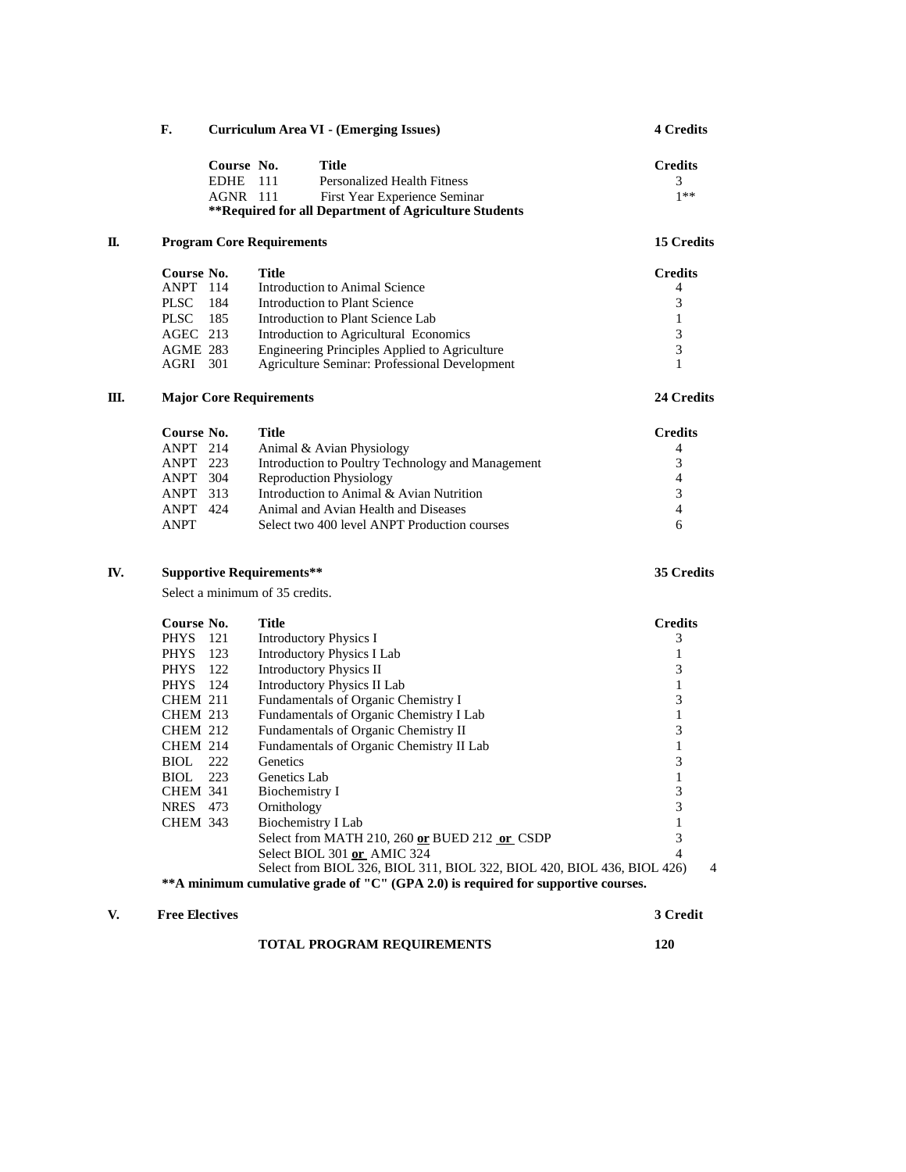|    | F.              |             |                                  | Curriculum Area VI - (Emerging Issues)                | <b>4 Credits</b> |  |
|----|-----------------|-------------|----------------------------------|-------------------------------------------------------|------------------|--|
|    |                 | Course No.  |                                  | <b>Title</b>                                          | <b>Credits</b>   |  |
|    |                 | <b>EDHE</b> | 111                              | Personalized Health Fitness                           | 3                |  |
|    |                 | $AGNR$ 111  |                                  | First Year Experience Seminar                         | $1**$            |  |
|    |                 |             |                                  | **Required for all Department of Agriculture Students |                  |  |
| Π. |                 |             | <b>Program Core Requirements</b> |                                                       | 15 Credits       |  |
|    | Course No.      |             | Title                            |                                                       | <b>Credits</b>   |  |
|    | ANPT 114        |             |                                  | Introduction to Animal Science                        | 4                |  |
|    | <b>PLSC</b>     | 184         |                                  | Introduction to Plant Science                         | 3                |  |
|    | <b>PLSC</b>     | 185         |                                  | Introduction to Plant Science Lab                     | 1                |  |
|    | $AGEC$ 213      |             |                                  | Introduction to Agricultural Economics                | 3                |  |
|    | <b>AGME 283</b> |             |                                  | Engineering Principles Applied to Agriculture         | 3                |  |
|    | AGRI 301        |             |                                  | Agriculture Seminar: Professional Development         | $\mathbf{1}$     |  |
| Ш. |                 |             | <b>Major Core Requirements</b>   |                                                       | 24 Credits       |  |
|    | Course No.      |             | <b>Title</b>                     |                                                       | <b>Credits</b>   |  |
|    | <b>ANPT</b> 214 |             |                                  | Animal & Avian Physiology                             | 4                |  |
|    | ANPT 223        |             |                                  | Introduction to Poultry Technology and Management     | 3                |  |
|    | <b>ANPT</b>     | 304         |                                  | <b>Reproduction Physiology</b>                        | 4                |  |
|    | <b>ANPT</b>     | 313         |                                  | Introduction to Animal & Avian Nutrition              | 3                |  |
|    | <b>ANPT</b> 424 |             |                                  | Animal and Avian Health and Diseases                  | 4                |  |
|    | <b>ANPT</b>     |             |                                  | Select two 400 level ANPT Production courses          | 6                |  |
|    |                 |             |                                  |                                                       |                  |  |

## **IV. Supportive Requirements\*\* 35 Credits**

Select a minimum of 35 credits.

**Course No. Title Credits**<br>PHYS 121 **Introductory Physics I** 3 PHYS 121 Introductory Physics I<br>
PHYS 123 Introductory Physics I Lab 1 PHYS 123 Introductory Physics I Lab 1<br>PHYS 122 Introductory Physics II PHYS 122 Introductory Physics II<br>
PHYS 124 Introductory Physics II Lab 1 PHYS 124 Introductory Physics II Lab 1<br>CHEM 211 Fundamentals of Organic Chemistry I 3 CHEM 211 Fundamentals of Organic Chemistry I<br>
CHEM 213 Fundamentals of Organic Chemistry I Lab 1 Fundamentals of Organic Chemistry I Lab CHEM 212 Fundamentals of Organic Chemistry II 3 CHEM 214 Fundamentals of Organic Chemistry II Lab 1 BIOL 222 Genetics 3 BIOL 223 Genetics Lab 1<br>CHEM 341 Biochemistry I 3 Biochemistry I 3<br>
Ornithology 3 NRES 473 Ornithology 3<br>CHEM 343 Biochemistry I Lab 1 Biochemistry I Lab 1<br>Select from MATH 210, 260 or BUED 212 or CSDP 3 Select from MATH 210, 260 or BUED 212 or CSDP Select BIOL 301 **or** AMIC 324 4 Select from BIOL 326, BIOL 311, BIOL 322, BIOL 420, BIOL 436, BIOL 426) 4 **\*\*A minimum cumulative grade of "C" (GPA 2.0) is required for supportive courses.**

### **V. Free Electives 3 Credit**

| <b>TOTAL PROGRAM REQUIREMENTS</b> | 120 |
|-----------------------------------|-----|
|                                   |     |